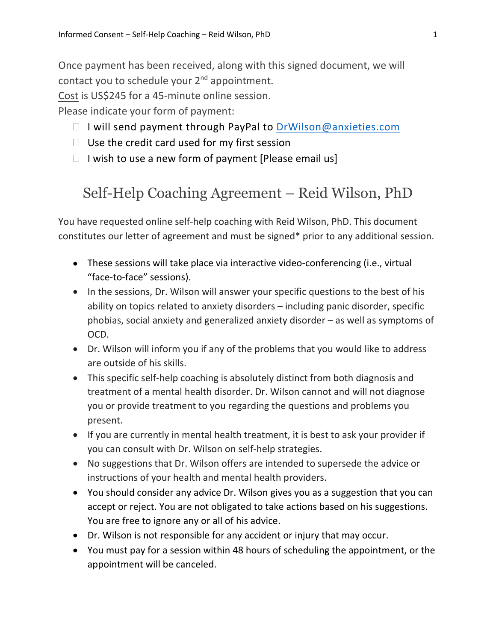Once payment has been received, along with this signed document, we will contact you to schedule your 2<sup>nd</sup> appointment.

Cost is US\$245 for a 45-minute online session.

Please indicate your form of payment:

- $\Box$  I will send payment through PayPal to DrWilson@anxieties.com
- $\Box$  Use the credit card used for my first session
- $\Box$  I wish to use a new form of payment [Please email us]

## Self-Help Coaching Agreement – Reid Wilson, PhD

You have requested online self-help coaching with Reid Wilson, PhD. This document constitutes our letter of agreement and must be signed\* prior to any additional session.

- These sessions will take place via interactive video-conferencing (i.e., virtual "face-to-face" sessions).
- In the sessions, Dr. Wilson will answer your specific questions to the best of his ability on topics related to anxiety disorders – including panic disorder, specific phobias, social anxiety and generalized anxiety disorder – as well as symptoms of OCD.
- Dr. Wilson will inform you if any of the problems that you would like to address are outside of his skills.
- This specific self-help coaching is absolutely distinct from both diagnosis and treatment of a mental health disorder. Dr. Wilson cannot and will not diagnose you or provide treatment to you regarding the questions and problems you present.
- If you are currently in mental health treatment, it is best to ask your provider if you can consult with Dr. Wilson on self-help strategies.
- No suggestions that Dr. Wilson offers are intended to supersede the advice or instructions of your health and mental health providers.
- You should consider any advice Dr. Wilson gives you as a suggestion that you can accept or reject. You are not obligated to take actions based on his suggestions. You are free to ignore any or all of his advice.
- Dr. Wilson is not responsible for any accident or injury that may occur.
- You must pay for a session within 48 hours of scheduling the appointment, or the appointment will be canceled.